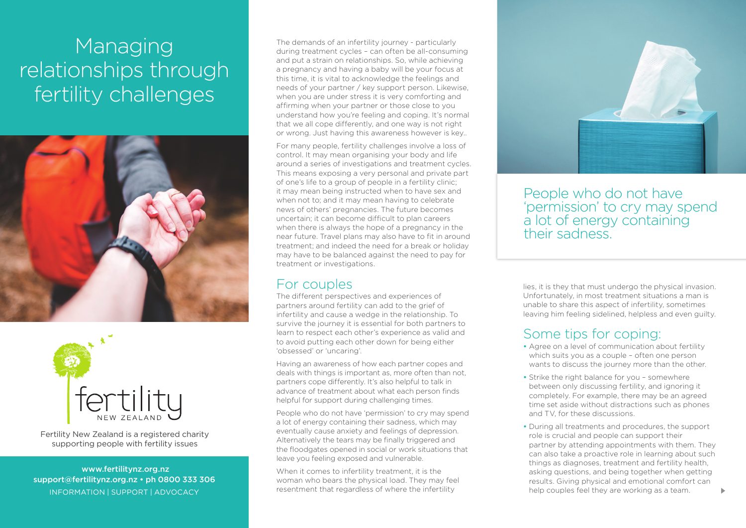# Managing relationships through fertility challenges





Fertility New Zealand is a registered charity supporting people with fertility issues

 www.fertilitynz.org.nz support@fertilitynz.org.nz • ph 0800 333 306 information | support | advocacy 3

The demands of an infertility journey - particularly during treatment cycles – can often be all-consuming and put a strain on relationships. So, while achieving a pregnancy and having a baby will be your focus at this time, it is vital to acknowledge the feelings and needs of your partner / key support person. Likewise, when you are under stress it is very comforting and affirming when your partner or those close to you understand how you're feeling and coping. It's normal that we all cope differently, and one way is not right or wrong. Just having this awareness however is key..

For many people, fertility challenges involve a loss of control. It may mean organising your body and life around a series of investigations and treatment cycles. This means exposing a very personal and private part of one's life to a group of people in a fertility clinic; it may mean being instructed when to have sex and when not to; and it may mean having to celebrate news of others' pregnancies. The future becomes uncertain; it can become difficult to plan careers when there is always the hope of a pregnancy in the near future. Travel plans may also have to fit in around treatment; and indeed the need for a break or holiday may have to be balanced against the need to pay for treatment or investigations.

#### For couples

The different perspectives and experiences of partners around fertility can add to the grief of infertility and cause a wedge in the relationship. To survive the journey it is essential for both partners to learn to respect each other's experience as valid and to avoid putting each other down for being either 'obsessed' or 'uncaring'.

Having an awareness of how each partner copes and deals with things is important as, more often than not, partners cope differently. It's also helpful to talk in advance of treatment about what each person finds helpful for support during challenging times.

People who do not have 'permission' to cry may spend a lot of energy containing their sadness, which may eventually cause anxiety and feelings of depression. Alternatively the tears may be finally triggered and the floodgates opened in social or work situations that leave you feeling exposed and vulnerable.

When it comes to infertility treatment, it is the woman who bears the physical load. They may feel resentment that regardless of where the infertility



People who do not have 'permission' to cry may spend a lot of energy containing their sadness.

lies, it is they that must undergo the physical invasion. Unfortunately, in most treatment situations a man is unable to share this aspect of infertility, sometimes leaving him feeling sidelined, helpless and even guilty.

#### Some tips for coping:

- Agree on a level of communication about fertility which suits you as a couple – often one person wants to discuss the journey more than the other.
- Strike the right balance for you somewhere between only discussing fertility, and ignoring it completely. For example, there may be an agreed time set aside without distractions such as phones and TV, for these discussions.
- During all treatments and procedures, the support role is crucial and people can support their partner by attending appointments with them. They can also take a proactive role in learning about such things as diagnoses, treatment and fertility health, asking questions, and being together when getting results. Giving physical and emotional comfort can help couples feel they are working as a team.